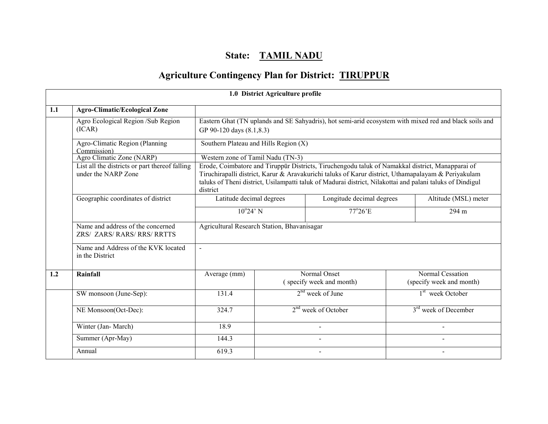# State: TAMIL NADU

# Agriculture Contingency Plan for District: TIRUPPUR

|     | 1.0 District Agriculture profile                                      |                                                                                                                                                                                                                                                                                                                                  |                                   |                                                                                                        |  |                                              |  |  |  |
|-----|-----------------------------------------------------------------------|----------------------------------------------------------------------------------------------------------------------------------------------------------------------------------------------------------------------------------------------------------------------------------------------------------------------------------|-----------------------------------|--------------------------------------------------------------------------------------------------------|--|----------------------------------------------|--|--|--|
| 1.1 | <b>Agro-Climatic/Ecological Zone</b>                                  |                                                                                                                                                                                                                                                                                                                                  |                                   |                                                                                                        |  |                                              |  |  |  |
|     | Agro Ecological Region /Sub Region<br>(ICAR)                          | GP 90-120 days (8.1,8.3)                                                                                                                                                                                                                                                                                                         |                                   | Eastern Ghat (TN uplands and SE Sahyadris), hot semi-arid ecosystem with mixed red and black soils and |  |                                              |  |  |  |
|     | Agro-Climatic Region (Planning<br>Commission)                         | Southern Plateau and Hills Region (X)                                                                                                                                                                                                                                                                                            |                                   |                                                                                                        |  |                                              |  |  |  |
|     | Agro Climatic Zone (NARP)                                             |                                                                                                                                                                                                                                                                                                                                  | Western zone of Tamil Nadu (TN-3) |                                                                                                        |  |                                              |  |  |  |
|     | List all the districts or part thereof falling<br>under the NARP Zone | Erode, Coimbatore and Tiruppūr Districts, Tiruchengodu taluk of Namakkal district, Manapparai of<br>Tiruchirapalli district, Karur & Aravakurichi taluks of Karur district, Uthamapalayam & Periyakulam<br>taluks of Theni district, Usilampatti taluk of Madurai district, Nilakottai and palani taluks of Dindigul<br>district |                                   |                                                                                                        |  |                                              |  |  |  |
|     | Geographic coordinates of district                                    | Latitude decimal degrees                                                                                                                                                                                                                                                                                                         |                                   | Longitude decimal degrees                                                                              |  | Altitude (MSL) meter                         |  |  |  |
|     |                                                                       | $\overline{10^{\circ}24^{\circ}}$ N                                                                                                                                                                                                                                                                                              |                                   | $77^{\circ}26'E$                                                                                       |  | 294 m                                        |  |  |  |
|     | Name and address of the concerned<br>ZRS/ ZARS/ RARS/ RRS/ RRTTS      | Agricultural Research Station, Bhavanisagar                                                                                                                                                                                                                                                                                      |                                   |                                                                                                        |  |                                              |  |  |  |
|     | Name and Address of the KVK located<br>in the District                |                                                                                                                                                                                                                                                                                                                                  |                                   |                                                                                                        |  |                                              |  |  |  |
| 1.2 | Rainfall                                                              | Average (mm)                                                                                                                                                                                                                                                                                                                     |                                   | Normal Onset<br>(specify week and month)                                                               |  | Normal Cessation<br>(specify week and month) |  |  |  |
|     | SW monsoon (June-Sep):                                                | 131.4                                                                                                                                                                                                                                                                                                                            |                                   | $2nd$ week of June                                                                                     |  | 1 <sup>st</sup> week October                 |  |  |  |
|     | NE Monsoon(Oct-Dec):                                                  | 324.7                                                                                                                                                                                                                                                                                                                            |                                   | $2nd$ week of October                                                                                  |  | 3 <sup>rd</sup> week of December             |  |  |  |
|     | Winter (Jan-March)                                                    | 18.9                                                                                                                                                                                                                                                                                                                             |                                   | $\overline{a}$                                                                                         |  | $\mathbf{r}$                                 |  |  |  |
|     | Summer (Apr-May)                                                      | 144.3                                                                                                                                                                                                                                                                                                                            |                                   |                                                                                                        |  |                                              |  |  |  |
|     | Annual                                                                | 619.3                                                                                                                                                                                                                                                                                                                            |                                   | $\overline{\phantom{0}}$                                                                               |  |                                              |  |  |  |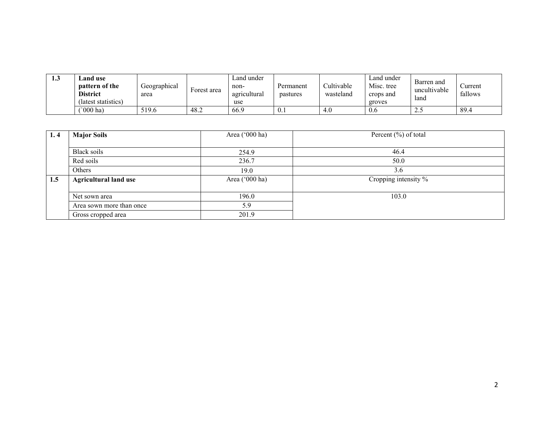| ⊥∙∿ | and use_<br><b>pattern of the</b><br><b>District</b><br>(latest statistics) | Geographical<br>area | Forest area | Land under<br>non-<br>agricultural<br>use | Permanent<br>pastures | Cultivable<br>wasteland | ∟and under<br>Misc. tree<br>crops and<br>groves | Barren and<br>uncultivable<br>land | ∠urrent<br>fallows |
|-----|-----------------------------------------------------------------------------|----------------------|-------------|-------------------------------------------|-----------------------|-------------------------|-------------------------------------------------|------------------------------------|--------------------|
|     | $^{\circ}000$ ha)                                                           | 519.6                | 48.2        | 66.9                                      | 0.1                   | 4.0                     | 0.6                                             | ن ک                                | 89.4               |

| 1.4 | <b>Major Soils</b>           | Area ('000 ha) | Percent $(\% )$ of total |
|-----|------------------------------|----------------|--------------------------|
|     |                              |                |                          |
|     | Black soils                  | 254.9          | 46.4                     |
|     | Red soils                    | 236.7          | 50.0                     |
|     | Others                       | 19.0           | 3.6                      |
| 1.5 | <b>Agricultural land use</b> | Area ('000 ha) | Cropping intensity %     |
|     |                              |                |                          |
|     | Net sown area                | 196.0          | 103.0                    |
|     | Area sown more than once     | 5.9            |                          |
|     | Gross cropped area           | 201.9          |                          |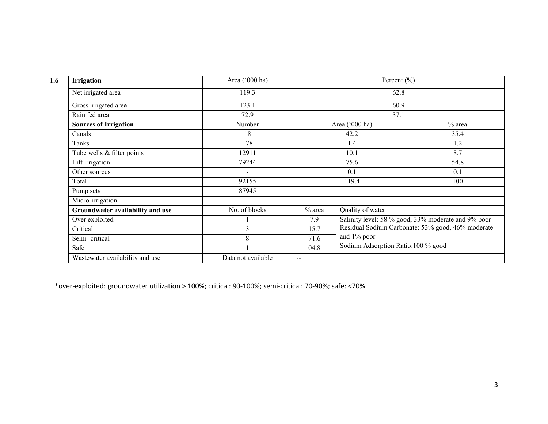| 1.6 | <b>Irrigation</b>                | Area ('000 ha)     |                          | Percent $(\% )$                    |                                                     |
|-----|----------------------------------|--------------------|--------------------------|------------------------------------|-----------------------------------------------------|
|     | Net irrigated area               | 119.3              |                          | 62.8                               |                                                     |
|     | Gross irrigated area             | 123.1              |                          | 60.9                               |                                                     |
|     | Rain fed area                    | 72.9               |                          | 37.1                               |                                                     |
|     | <b>Sources of Irrigation</b>     | Number             |                          | Area ('000 ha)                     | $%$ area                                            |
|     | Canals                           | 18                 |                          | 42.2                               | 35.4                                                |
|     | Tanks                            | 178                |                          | 1.4                                | 1.2                                                 |
|     | Tube wells & filter points       | 12911              |                          | 10.1                               | 8.7                                                 |
|     | Lift irrigation                  | 79244              |                          | 75.6                               | 54.8                                                |
|     | Other sources                    | $\blacksquare$     |                          | 0.1                                | 0.1                                                 |
|     | Total                            | 92155              |                          | 119.4                              | 100                                                 |
|     | Pump sets                        | 87945              |                          |                                    |                                                     |
|     | Micro-irrigation                 |                    |                          |                                    |                                                     |
|     | Groundwater availability and use | No. of blocks      | $%$ area                 | Quality of water                   |                                                     |
|     | Over exploited                   |                    | 7.9                      |                                    | Salinity level: 58 % good, 33% moderate and 9% poor |
|     | Critical                         | 3                  | 15.7                     |                                    | Residual Sodium Carbonate: 53% good, 46% moderate   |
|     | Semi-critical                    | 8                  | 71.6                     | and 1% poor                        |                                                     |
|     | Safe                             |                    | 04.8                     | Sodium Adsorption Ratio:100 % good |                                                     |
|     | Wastewater availability and use  | Data not available | $\overline{\phantom{m}}$ |                                    |                                                     |

\*over-exploited: groundwater utilization > 100%; critical: 90-100%; semi-critical: 70-90%; safe: <70%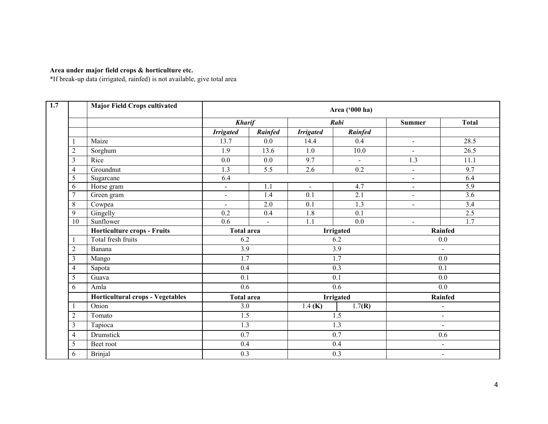Area under major field crops & horticulture etc. \*If break-up data (irrigated, rainfed) is not available, give total area

|                | <b>Major Field Crops cultivated</b> |                   |                |                              | Area ('000 ha) |                          |                  |
|----------------|-------------------------------------|-------------------|----------------|------------------------------|----------------|--------------------------|------------------|
|                |                                     | <b>Kharif</b>     |                |                              | Rabi           | <b>Summer</b>            | <b>Total</b>     |
|                |                                     | <b>Irrigated</b>  | Rainfed        | <b>Irrigated</b>             | Rainfed        |                          |                  |
|                | Maize                               | 13.7              | 0.0            | 14.4                         | 0.4            | $\overline{\phantom{a}}$ | 28.5             |
| $\overline{2}$ | Sorghum                             | 1.9               | 13.6           | 1.0                          | 10.0           | $\blacksquare$           | 26.5             |
| 3              | Rice                                | 0.0               | 0.0            | 9.7                          | $\blacksquare$ | 1.3                      | 11.1             |
| $\overline{4}$ | Groundnut                           | 1.3               | 5.5            | $\overline{2.6}$             | 0.2            | $\blacksquare$           | 9.7              |
| 5              | Sugarcane                           | 6.4               |                |                              |                | $\overline{\phantom{a}}$ | 6.4              |
| 6              | Horse gram                          | $\blacksquare$    | 1.1            | $\qquad \qquad \blacksquare$ | 4.7            | $\overline{a}$           | $\overline{5.9}$ |
| $\overline{7}$ | Green gram                          | $\blacksquare$    | 1.4            | 0.1                          | 2.1            | $\blacksquare$           | 3.6              |
| 8              | Cowpea                              | $\blacksquare$    | 2.0            | 0.1                          | 1.3            | $\blacksquare$           | 3.4              |
| 9              | Gingelly                            | 0.2               | 0.4            | $\overline{1.8}$             | 0.1            |                          | 2.5              |
| 10             | Sunflower                           | 0.6               | $\blacksquare$ | 1.1                          | 0.0            | $\blacksquare$           | 1.7              |
|                | Horticulture crops - Fruits         | <b>Total area</b> |                |                              | Irrigated      |                          | Rainfed          |
|                | Total fresh fruits                  | 6.2               |                |                              | 6.2            |                          | 0.0              |
| $\overline{2}$ | Banana                              | 3.9               |                | 3.9                          |                | $\sim$                   |                  |
| 3              | Mango                               | $\overline{1.7}$  |                |                              | 1.7            |                          | $0.0\,$          |
| $\overline{4}$ | Sapota                              | 0.4               |                |                              | 0.3            |                          | 0.1              |
| 5              | Guava                               | 0.1               |                |                              | 0.1            |                          | 0.0              |
| 6              | Amla                                | 0.6               |                |                              | 0.6            |                          | 0.0              |
|                | Horticultural crops - Vegetables    | <b>Total area</b> |                |                              | Irrigated      |                          | Rainfed          |
|                | Onion                               | 3.0               |                | 1.4 ( <b>K</b> )             | 1.7(R)         |                          | $\blacksquare$   |
| $\overline{2}$ | Tomato                              | 1.5               |                |                              | 1.5            |                          | $\blacksquare$   |
| $\mathfrak{Z}$ | Tapioca                             | $\overline{1.3}$  |                |                              | 1.3            |                          | $\blacksquare$   |
| $\overline{4}$ | <b>Drumstick</b>                    | 0.7               |                |                              | 0.7            |                          | 0.6              |
| 5              | Beet root                           | 0.4               |                |                              | 0.4            | $\blacksquare$           |                  |
| 6              | <b>Brinjal</b>                      | 0.3               |                |                              | 0.3            |                          | $\blacksquare$   |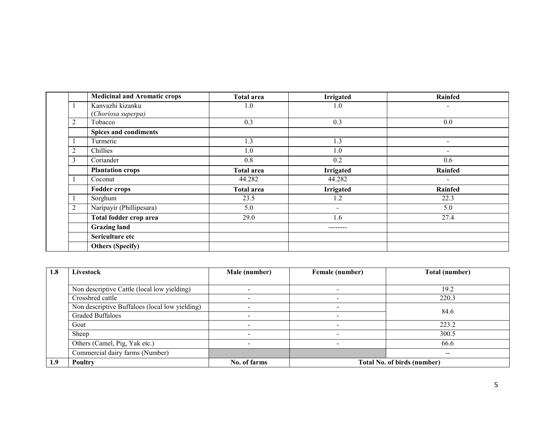|                | <b>Medicinal and Aromatic crops</b> | <b>Total area</b> | <b>Irrigated</b>         | <b>Rainfed</b>           |
|----------------|-------------------------------------|-------------------|--------------------------|--------------------------|
|                | Kanvazhi kizanku                    | 1.0               | 1.0                      |                          |
|                | (Choriosa superpa)                  |                   |                          |                          |
| $\overline{2}$ | Tobacco                             | 0.3               | 0.3                      | 0.0                      |
|                | Spices and condiments               |                   |                          |                          |
|                | Turmeric                            | 1.3               | 1.3                      | Ξ.                       |
| 2              | Chillies                            | 1.0               | 1.0                      | $\overline{\phantom{0}}$ |
| 3              | Coriander                           | 0.8               | 0.2                      | 0.6                      |
|                | <b>Plantation crops</b>             | Total area        | <b>Irrigated</b>         | Rainfed                  |
|                | Coconut                             | 44.282            | 44.282                   | $\sim$                   |
|                | <b>Fodder crops</b>                 | <b>Total area</b> | <b>Irrigated</b>         | Rainfed                  |
|                | Sorghum                             | 23.5              | 1.2                      | 22.3                     |
| $\overline{2}$ | Naripayir (Phillipesara)            | 5.0               | $\overline{\phantom{a}}$ | 5.0                      |
|                | Total fodder crop area              | 29.0              | 1.6                      | 27.4                     |
|                | <b>Grazing land</b>                 |                   | --------                 |                          |
|                | Sericulture etc                     |                   |                          |                          |
|                | <b>Others (Specify)</b>             |                   |                          |                          |

| 1.8 | Livestock                                      | Male (number) | Female (number) | <b>Total (number)</b>              |
|-----|------------------------------------------------|---------------|-----------------|------------------------------------|
|     |                                                |               |                 |                                    |
|     | Non descriptive Cattle (local low yielding)    |               |                 | 19.2                               |
|     | Crossbred cattle                               |               |                 | 220.3                              |
|     | Non descriptive Buffaloes (local low yielding) |               | -               |                                    |
|     | <b>Graded Buffaloes</b>                        |               |                 | 84.6                               |
|     | Goat                                           |               |                 | 223.2                              |
|     | Sheep                                          |               |                 | 300.5                              |
|     | Others (Camel, Pig, Yak etc.)                  |               |                 | 66.6                               |
|     | Commercial dairy farms (Number)                |               |                 |                                    |
| 1.9 | Poultry                                        | No. of farms  |                 | <b>Total No. of birds (number)</b> |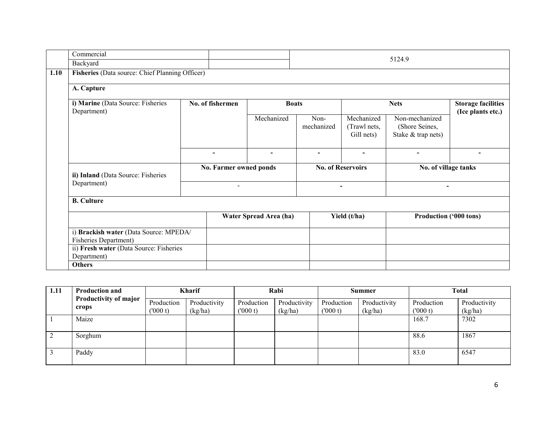| Commercial                                                             |                  |                          |                          |                          |                                          | 5124.9                                                 |                   |
|------------------------------------------------------------------------|------------------|--------------------------|--------------------------|--------------------------|------------------------------------------|--------------------------------------------------------|-------------------|
| Backyard                                                               |                  |                          |                          |                          |                                          |                                                        |                   |
| Fisheries (Data source: Chief Planning Officer)                        |                  |                          |                          |                          |                                          |                                                        |                   |
| A. Capture                                                             |                  |                          |                          |                          |                                          |                                                        |                   |
| i) Marine (Data Source: Fisheries<br>Department)                       | No. of fishermen |                          | <b>Boats</b>             |                          |                                          | <b>Nets</b>                                            |                   |
|                                                                        |                  |                          | Mechanized               | Non-<br>mechanized       | Mechanized<br>(Trawl nets,<br>Gill nets) | Non-mechanized<br>(Shore Seines,<br>Stake & trap nets) | (Ice plants etc.) |
|                                                                        | $\blacksquare$   |                          | $\overline{\phantom{a}}$ | $\blacksquare$           | $\overline{\phantom{a}}$                 | $\overline{\phantom{0}}$                               |                   |
| ii) Inland (Data Source: Fisheries                                     |                  | No. Farmer owned ponds   |                          |                          | <b>No. of Reservoirs</b>                 | No. of village tanks                                   |                   |
| Department)                                                            |                  | $\overline{\phantom{a}}$ |                          | $\overline{\phantom{0}}$ |                                          | $\blacksquare$                                         |                   |
| <b>B.</b> Culture                                                      |                  |                          |                          |                          |                                          |                                                        |                   |
|                                                                        |                  |                          | Water Spread Area (ha)   |                          | Yield (t/ha)                             | Production ('000 tons)                                 |                   |
| i) Brackish water (Data Source: MPEDA/<br><b>Fisheries Department)</b> |                  |                          |                          |                          |                                          |                                                        |                   |
| ii) Fresh water (Data Source: Fisheries<br>Department)                 |                  |                          |                          |                          |                                          |                                                        |                   |
| <b>Others</b>                                                          |                  |                          |                          |                          |                                          |                                                        |                   |

| 1.11 | <b>Production and</b>          | <b>Kharif</b>         |                         | Rabi                  |                         | <b>Summer</b>         |                         | <b>Total</b>          |                         |
|------|--------------------------------|-----------------------|-------------------------|-----------------------|-------------------------|-----------------------|-------------------------|-----------------------|-------------------------|
|      | Productivity of major<br>crops | Production<br>(000 t) | Productivity<br>(kg/ha) | Production<br>(000 t) | Productivity<br>(kg/ha) | Production<br>(000 t) | Productivity<br>(kg/ha) | Production<br>(000 t) | Productivity<br>(kg/ha) |
|      | Maize                          |                       |                         |                       |                         |                       |                         | 168.7                 | 7302                    |
|      | Sorghum                        |                       |                         |                       |                         |                       |                         | 88.6                  | 1867                    |
|      | Paddy                          |                       |                         |                       |                         |                       |                         | 83.0                  | 6547                    |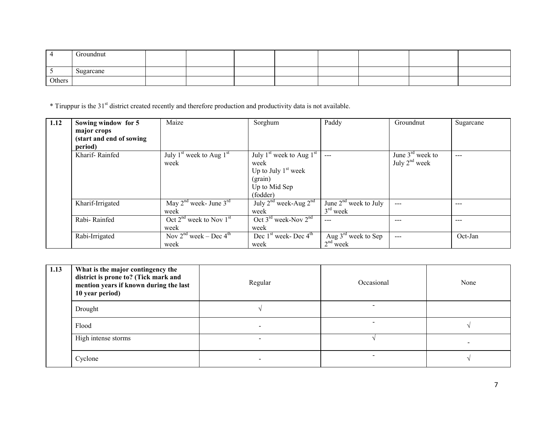|        | Groundnut |  |  |  |  |
|--------|-----------|--|--|--|--|
|        | Sugarcane |  |  |  |  |
| Others |           |  |  |  |  |

\* Tiruppur is the 31<sup>st</sup> district created recently and therefore production and productivity data is not available.

| 1.12 | Sowing window for 5<br>major crops | Maize                             | Sorghum                                      | Paddy                           | Groundnut          | Sugarcane |
|------|------------------------------------|-----------------------------------|----------------------------------------------|---------------------------------|--------------------|-----------|
|      | (start and end of sowing           |                                   |                                              |                                 |                    |           |
|      | period)                            |                                   |                                              |                                 |                    |           |
|      | Kharif-Rainfed                     | July $1st$ week to Aug $1st$      | July $1st$ week to Aug $1st$                 | $---$                           | June $3rd$ week to | $---$     |
|      |                                    | week                              | week                                         |                                 | July $2nd$ week    |           |
|      |                                    |                                   | Up to July $1st$ week                        |                                 |                    |           |
|      |                                    |                                   | (grain)                                      |                                 |                    |           |
|      |                                    |                                   | Up to Mid Sep                                |                                 |                    |           |
|      |                                    |                                   | (fodder)                                     |                                 |                    |           |
|      | Kharif-Irrigated                   | May $2^{nd}$ week- June $3^{rd}$  | July $2^{nd}$ week-Aug $2^{nd}$              | June $2nd$ week to July         | $---$              | ---       |
|      |                                    | week                              | week                                         | $3rd$ week                      |                    |           |
|      | Rabi-Rainfed                       | Oct $2^{nd}$ week to Nov $1^{st}$ | Oct $3^{\text{rd}}$ week-Nov $2^{\text{nd}}$ | ---                             | $- - -$            | $---$     |
|      |                                    | week                              | week                                         |                                 |                    |           |
|      | Rabi-Irrigated                     | Nov $2nd$ week – Dec $4th$        | Dec $1st$ week- Dec $4th$                    | Aug $3^{\text{rd}}$ week to Sep | $---$              | Oct-Jan   |
|      |                                    | week                              | week                                         | $2nd$ week                      |                    |           |

| 1.13 | What is the major contingency the<br>district is prone to? (Tick mark and<br>mention years if known during the last<br>10 year period) | Regular                  | Occasional | None |
|------|----------------------------------------------------------------------------------------------------------------------------------------|--------------------------|------------|------|
|      | Drought                                                                                                                                |                          |            |      |
|      | Flood                                                                                                                                  | $\overline{\phantom{a}}$ |            |      |
|      | High intense storms                                                                                                                    | $\overline{\phantom{0}}$ |            |      |
|      | Cyclone                                                                                                                                | $\,$                     |            |      |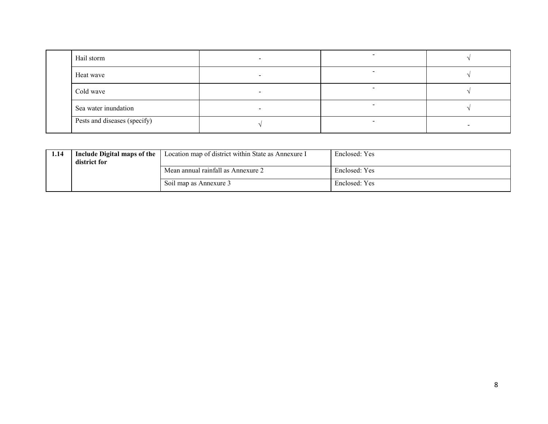| Hail storm                   |  |  |
|------------------------------|--|--|
| Heat wave                    |  |  |
| Cold wave                    |  |  |
| Sea water inundation         |  |  |
| Pests and diseases (specify) |  |  |

| 1.14 | Include Digital maps of the<br>district for | Location map of district within State as Annexure I | Enclosed: Yes |
|------|---------------------------------------------|-----------------------------------------------------|---------------|
|      |                                             | Mean annual rainfall as Annexure 2                  | Enclosed: Yes |
|      |                                             | Soil map as Annexure 3                              | Enclosed: Yes |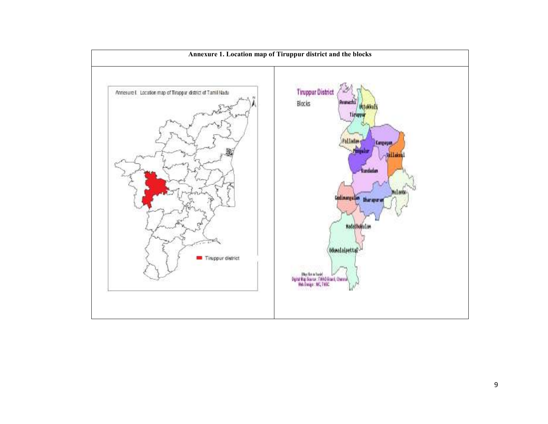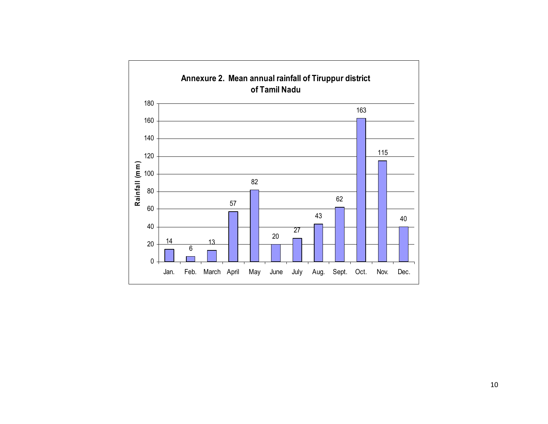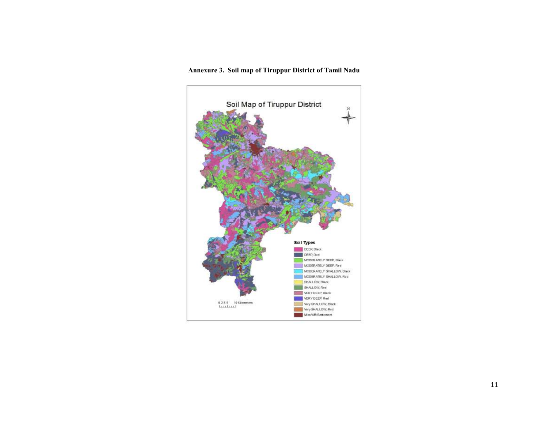#### Annexure 3. Soil map of Tiruppur District of Tamil Nadu

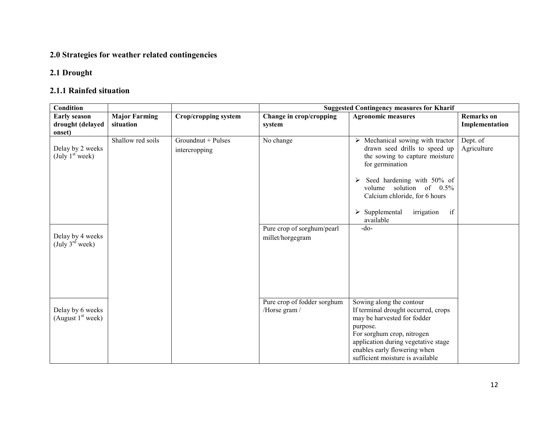## 2.0 Strategies for weather related contingencies

## 2.1 Drought

## 2.1.1 Rainfed situation

| <b>Condition</b>                                |                      |                                     | <b>Suggested Contingency measures for Kharif</b> |                                                                                                                                                                                                                                                                                           |                         |
|-------------------------------------------------|----------------------|-------------------------------------|--------------------------------------------------|-------------------------------------------------------------------------------------------------------------------------------------------------------------------------------------------------------------------------------------------------------------------------------------------|-------------------------|
| <b>Early season</b>                             | <b>Major Farming</b> | Crop/cropping system                | Change in crop/cropping                          | <b>Agronomic measures</b>                                                                                                                                                                                                                                                                 | <b>Remarks</b> on       |
| drought (delayed<br>onset)                      | situation            |                                     | system                                           |                                                                                                                                                                                                                                                                                           | Implementation          |
| Delay by 2 weeks<br>(July 1 <sup>st</sup> week) | Shallow red soils    | Groundnut + Pulses<br>intercropping | No change                                        | $\triangleright$ Mechanical sowing with tractor<br>drawn seed drills to speed up<br>the sowing to capture moisture<br>for germination<br>Seed hardening with 50% of<br>➤<br>volume solution of 0.5%<br>Calcium chloride, for 6 hours<br>if<br>$\triangleright$ Supplemental<br>irrigation | Dept. of<br>Agriculture |
| Delay by 4 weeks<br>(July $3^{\text{rd}}$ week) |                      |                                     | Pure crop of sorghum/pearl<br>millet/horgegram   | available<br>$-do-$                                                                                                                                                                                                                                                                       |                         |
| Delay by 6 weeks<br>(August $1st$ week)         |                      |                                     | Pure crop of fodder sorghum<br>/Horse gram /     | Sowing along the contour<br>If terminal drought occurred, crops<br>may be harvested for fodder<br>purpose.<br>For sorghum crop, nitrogen<br>application during vegetative stage<br>enables early flowering when<br>sufficient moisture is available                                       |                         |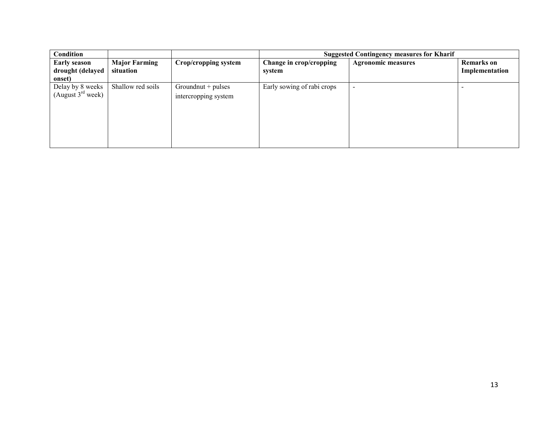| Condition                                         |                                   |                                           | <b>Suggested Contingency measures for Kharif</b> |                           |                                     |
|---------------------------------------------------|-----------------------------------|-------------------------------------------|--------------------------------------------------|---------------------------|-------------------------------------|
| <b>Early season</b><br>drought (delayed<br>onset) | <b>Major Farming</b><br>situation | Crop/cropping system                      | Change in crop/cropping<br>system                | <b>Agronomic measures</b> | <b>Remarks</b> on<br>Implementation |
| Delay by 8 weeks<br>(August $3^{rd}$ week)        | Shallow red soils                 | $Ground + pulses$<br>intercropping system | Early sowing of rabi crops                       | $\overline{\phantom{0}}$  |                                     |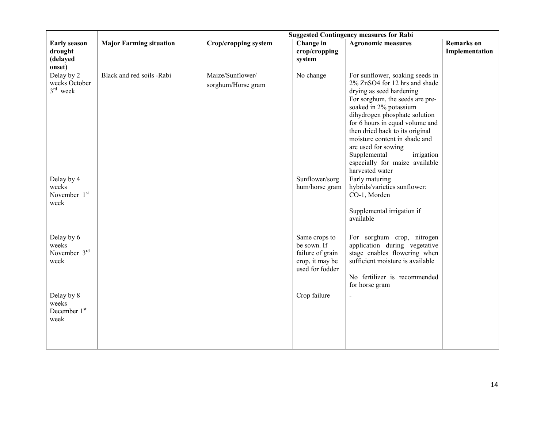|                                                      |                                | <b>Suggested Contingency measures for Rabi</b> |                                                                                        |                                                                                                                                                                                                                                                                                                                                                                                                             |                                     |
|------------------------------------------------------|--------------------------------|------------------------------------------------|----------------------------------------------------------------------------------------|-------------------------------------------------------------------------------------------------------------------------------------------------------------------------------------------------------------------------------------------------------------------------------------------------------------------------------------------------------------------------------------------------------------|-------------------------------------|
| <b>Early season</b><br>drought<br>(delayed<br>onset) | <b>Major Farming situation</b> | <b>Crop/cropping system</b>                    | Change in<br>crop/cropping<br>system                                                   | <b>Agronomic measures</b>                                                                                                                                                                                                                                                                                                                                                                                   | <b>Remarks</b> on<br>Implementation |
| Delay by 2<br>weeks October<br>$3rd$ week            | Black and red soils -Rabi      | Maize/Sunflower/<br>sorghum/Horse gram         | No change                                                                              | For sunflower, soaking seeds in<br>2% ZnSO4 for 12 hrs and shade<br>drying as seed hardening<br>For sorghum, the seeds are pre-<br>soaked in 2% potassium<br>dihydrogen phosphate solution<br>for 6 hours in equal volume and<br>then dried back to its original<br>moisture content in shade and<br>are used for sowing<br>Supplemental<br>irrigation<br>especially for maize available<br>harvested water |                                     |
| Delay by 4<br>weeks<br>November 1st<br>week          |                                |                                                | Sunflower/sorg<br>hum/horse gram                                                       | Early maturing<br>hybrids/varieties sunflower:<br>CO-1, Morden<br>Supplemental irrigation if<br>available                                                                                                                                                                                                                                                                                                   |                                     |
| Delay by 6<br>weeks<br>November 3rd<br>week          |                                |                                                | Same crops to<br>be sown. If<br>failure of grain<br>crop, it may be<br>used for fodder | For sorghum crop, nitrogen<br>application during vegetative<br>stage enables flowering when<br>sufficient moisture is available<br>No fertilizer is recommended<br>for horse gram                                                                                                                                                                                                                           |                                     |
| Delay by 8<br>weeks<br>December 1st<br>week          |                                |                                                | Crop failure                                                                           | $\overline{a}$                                                                                                                                                                                                                                                                                                                                                                                              |                                     |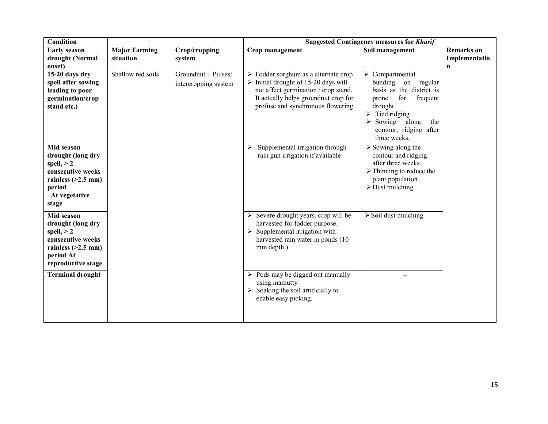| Condition                                                                                                                        |                                   |                                             | <b>Suggested Contingency measures for Kharif</b>                                                                                                                                                                                 |                                                                                                                                                                                                 |                                         |
|----------------------------------------------------------------------------------------------------------------------------------|-----------------------------------|---------------------------------------------|----------------------------------------------------------------------------------------------------------------------------------------------------------------------------------------------------------------------------------|-------------------------------------------------------------------------------------------------------------------------------------------------------------------------------------------------|-----------------------------------------|
| <b>Early season</b><br>drought (Normal<br>onset)                                                                                 | <b>Major Farming</b><br>situation | Crop/cropping<br>system                     | Crop management                                                                                                                                                                                                                  | Soil management                                                                                                                                                                                 | <b>Remarks</b> on<br>Implementatio<br>n |
| 15-20 days dry<br>spell after sowing<br>leading to poor<br>germination/crop<br>stand etc.)                                       | Shallow red soils                 | Groundnut + Pulses/<br>intercropping system | $\triangleright$ Fodder sorghum as a alternate crop<br>$\triangleright$ Initial drought of 15-20 days will<br>not affect germination / crop stand.<br>It actually helps ground nut crop for<br>profuse and synchronous flowering | Compartmental<br>➤<br>bunding on regular<br>basis as the district is<br>for<br>frequent<br>prone<br>drought<br>Tied ridging<br>Sowing<br>along<br>the<br>contour, ridging after<br>three weeks. |                                         |
| Mid season<br>drought (long dry<br>spell, $> 2$<br>consecutive weeks<br>rainless $(>2.5$ mm)<br>period<br>At vegetative<br>stage |                                   |                                             | Supplemental irrigation through<br>rain gun irrigation if available                                                                                                                                                              | $\triangleright$ Sowing along the<br>contour and ridging<br>after three weeks.<br>$\triangleright$ Thinning to reduce the<br>plant population<br>$\triangleright$ Dust mulching                 |                                         |
| Mid season<br>drought (long dry<br>spell, $> 2$<br>consecutive weeks<br>rainless $(>2.5$ mm)<br>period At<br>reproductive stage  |                                   |                                             | $\triangleright$ Severe drought years, crop will be<br>harvested for fodder purpose.<br>$\triangleright$ Supplemental irrigation with<br>harvested rain water in ponds (10)<br>mm depth.)                                        | $\triangleright$ Soil dust mulching                                                                                                                                                             |                                         |
| <b>Terminal drought</b>                                                                                                          |                                   |                                             | $\triangleright$ Pods may be digged out manually<br>using mamutty<br>$\triangleright$ Soaking the soil artificially to<br>enable easy picking.                                                                                   | --                                                                                                                                                                                              |                                         |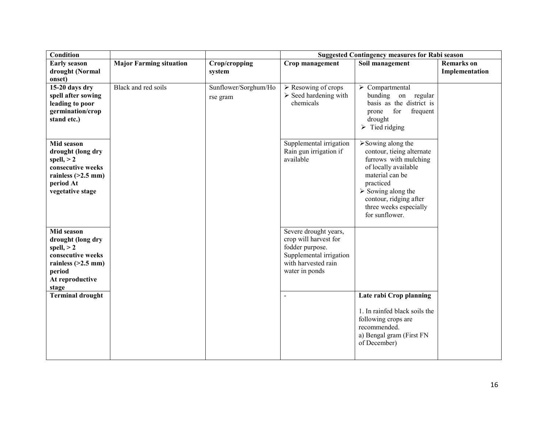| Condition               |                                |                      | <b>Suggested Contingency measures for Rabi season</b> |                                                |                   |
|-------------------------|--------------------------------|----------------------|-------------------------------------------------------|------------------------------------------------|-------------------|
| <b>Early season</b>     | <b>Major Farming situation</b> | Crop/cropping        | Crop management                                       | Soil management                                | <b>Remarks</b> on |
| drought (Normal         |                                | system               |                                                       |                                                | Implementation    |
| onset)                  |                                |                      |                                                       |                                                |                   |
| 15-20 days dry          | Black and red soils            | Sunflower/Sorghum/Ho | $\triangleright$ Resowing of crops                    | $\triangleright$ Compartmental                 |                   |
| spell after sowing      |                                | rse gram             | $\triangleright$ Seed hardening with                  | bunding<br>on regular                          |                   |
| leading to poor         |                                |                      | chemicals                                             | basis as the district is                       |                   |
| germination/crop        |                                |                      |                                                       | for<br>frequent<br>prone                       |                   |
| stand etc.)             |                                |                      |                                                       | drought                                        |                   |
|                         |                                |                      |                                                       | $\triangleright$ Tied ridging                  |                   |
|                         |                                |                      |                                                       |                                                |                   |
| Mid season              |                                |                      | Supplemental irrigation                               | $\triangleright$ Sowing along the              |                   |
| drought (long dry       |                                |                      | Rain gun irrigation if                                | contour, tieing alternate                      |                   |
| spell, $> 2$            |                                |                      | available                                             | furrows with mulching                          |                   |
| consecutive weeks       |                                |                      |                                                       | of locally available                           |                   |
| rainless $(>2.5$ mm)    |                                |                      |                                                       | material can be                                |                   |
| period At               |                                |                      |                                                       | practiced<br>$\triangleright$ Sowing along the |                   |
| vegetative stage        |                                |                      |                                                       | contour, ridging after                         |                   |
|                         |                                |                      |                                                       | three weeks especially                         |                   |
|                         |                                |                      |                                                       | for sunflower.                                 |                   |
|                         |                                |                      |                                                       |                                                |                   |
| Mid season              |                                |                      | Severe drought years,                                 |                                                |                   |
| drought (long dry       |                                |                      | crop will harvest for                                 |                                                |                   |
| spell, $> 2$            |                                |                      | fodder purpose.                                       |                                                |                   |
| consecutive weeks       |                                |                      | Supplemental irrigation                               |                                                |                   |
| rainless $(>2.5$ mm)    |                                |                      | with harvested rain                                   |                                                |                   |
| period                  |                                |                      | water in ponds                                        |                                                |                   |
| At reproductive         |                                |                      |                                                       |                                                |                   |
| stage                   |                                |                      |                                                       |                                                |                   |
| <b>Terminal drought</b> |                                |                      | $\overline{a}$                                        | Late rabi Crop planning                        |                   |
|                         |                                |                      |                                                       |                                                |                   |
|                         |                                |                      |                                                       | 1. In rainfed black soils the                  |                   |
|                         |                                |                      |                                                       | following crops are                            |                   |
|                         |                                |                      |                                                       | recommended.                                   |                   |
|                         |                                |                      |                                                       | a) Bengal gram (First FN                       |                   |
|                         |                                |                      |                                                       | of December)                                   |                   |
|                         |                                |                      |                                                       |                                                |                   |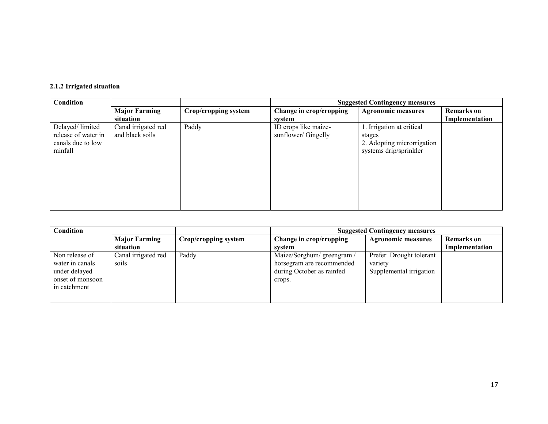#### 2.1.2 Irrigated situation

| Condition                                                               |                                        |                      | <b>Suggested Contingency measures</b>       |                                                                                             |                   |
|-------------------------------------------------------------------------|----------------------------------------|----------------------|---------------------------------------------|---------------------------------------------------------------------------------------------|-------------------|
|                                                                         | <b>Major Farming</b>                   | Crop/cropping system | Change in crop/cropping                     | <b>Agronomic measures</b>                                                                   | <b>Remarks</b> on |
|                                                                         | situation                              |                      | system                                      |                                                                                             | Implementation    |
| Delayed/limited<br>release of water in<br>canals due to low<br>rainfall | Canal irrigated red<br>and black soils | Paddy                | ID crops like maize-<br>sunflower/ Gingelly | 1. Irrigation at critical<br>stages<br>2. Adopting microrrigation<br>systems drip/sprinkler |                   |

| <b>Condition</b>                                                                       |                                   |                      | <b>Suggested Contingency measures</b>                                                          |                                                               |                                     |
|----------------------------------------------------------------------------------------|-----------------------------------|----------------------|------------------------------------------------------------------------------------------------|---------------------------------------------------------------|-------------------------------------|
|                                                                                        | <b>Major Farming</b><br>situation | Crop/cropping system | Change in crop/cropping<br>system                                                              | <b>Agronomic measures</b>                                     | <b>Remarks</b> on<br>Implementation |
| Non release of<br>water in canals<br>under delayed<br>onset of monsoon<br>in catchment | Canal irrigated red<br>soils      | Paddy                | Maize/Sorghum/ greengram /<br>horsegram are recommended<br>during October as rainfed<br>crops. | Prefer Drought tolerant<br>variety<br>Supplemental irrigation |                                     |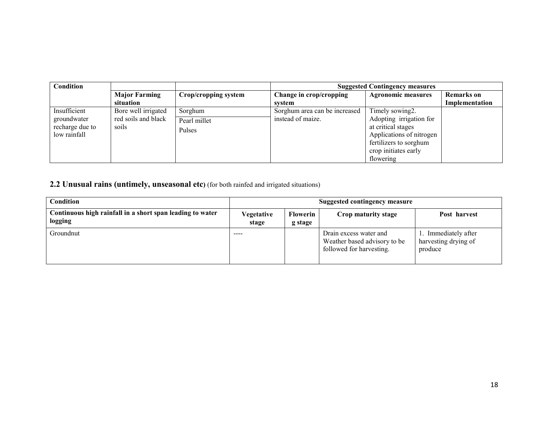| Condition                                                      |                                                     |                                   | <b>Suggested Contingency measures</b>              |                                                                                                                                                             |                                     |
|----------------------------------------------------------------|-----------------------------------------------------|-----------------------------------|----------------------------------------------------|-------------------------------------------------------------------------------------------------------------------------------------------------------------|-------------------------------------|
|                                                                | <b>Major Farming</b><br>situation                   | Crop/cropping system              | Change in crop/cropping<br>system                  | <b>Agronomic measures</b>                                                                                                                                   | <b>Remarks</b> on<br>Implementation |
| Insufficient<br>groundwater<br>recharge due to<br>low rainfall | Bore well irrigated<br>red soils and black<br>soils | Sorghum<br>Pearl millet<br>Pulses | Sorghum area can be increased<br>instead of maize. | Timely sowing2.<br>Adopting irrigation for<br>at critical stages<br>Applications of nitrogen<br>fertilizers to sorghum<br>crop initiates early<br>flowering |                                     |

2.2 Unusual rains (untimely, unseasonal etc) (for both rainfed and irrigated situations)

| Condition                                                            | <b>Suggested contingency measure</b> |                     |                                                                                    |                                                      |
|----------------------------------------------------------------------|--------------------------------------|---------------------|------------------------------------------------------------------------------------|------------------------------------------------------|
| Continuous high rainfall in a short span leading to water<br>logging | Vegetative<br>stage                  | Flowerin<br>g stage | Crop maturity stage                                                                | Post harvest                                         |
| Groundnut                                                            | ----                                 |                     | Drain excess water and<br>Weather based advisory to be<br>followed for harvesting. | Immediately after<br>harvesting drying of<br>produce |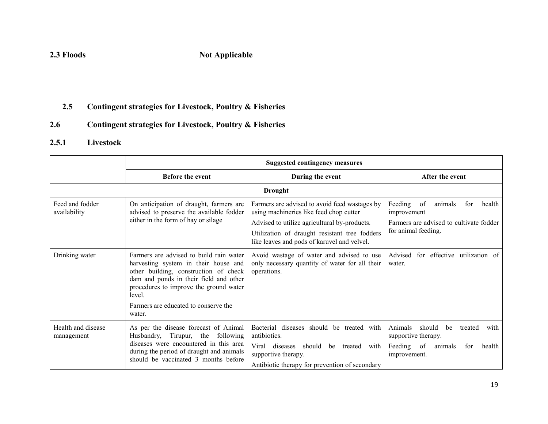### 2.3 Floods Not Applicable

#### 2.5Contingent strategies for Livestock, Poultry & Fisheries

#### 2.6Contingent strategies for Livestock, Poultry & Fisheries

#### 2.5.1 Livestock

|                                  | <b>Suggested contingency measures</b>                                                                                                                                                                                                                                    |                                                                                                                                                                                                                                          |                                                                                                                             |  |  |
|----------------------------------|--------------------------------------------------------------------------------------------------------------------------------------------------------------------------------------------------------------------------------------------------------------------------|------------------------------------------------------------------------------------------------------------------------------------------------------------------------------------------------------------------------------------------|-----------------------------------------------------------------------------------------------------------------------------|--|--|
|                                  | <b>Before the event</b>                                                                                                                                                                                                                                                  | During the event                                                                                                                                                                                                                         | After the event                                                                                                             |  |  |
|                                  |                                                                                                                                                                                                                                                                          | <b>Drought</b>                                                                                                                                                                                                                           |                                                                                                                             |  |  |
| Feed and fodder<br>availability  | On anticipation of draught, farmers are<br>advised to preserve the available fodder<br>either in the form of hay or silage                                                                                                                                               | Farmers are advised to avoid feed wastages by<br>using machineries like feed chop cutter<br>Advised to utilize agricultural by-products.<br>Utilization of draught resistant tree fodders<br>like leaves and pods of karuvel and velvel. | Feeding<br>animals<br>of<br>for<br>health<br>improvement<br>Farmers are advised to cultivate fodder<br>for animal feeding.  |  |  |
| Drinking water                   | Farmers are advised to build rain water<br>harvesting system in their house and<br>other building, construction of check<br>dam and ponds in their field and other<br>procedures to improve the ground water<br>level.<br>Farmers are educated to conserve the<br>water. | Avoid wastage of water and advised to use<br>only necessary quantity of water for all their<br>operations.                                                                                                                               | Advised<br>for effective utilization of<br>water.                                                                           |  |  |
| Health and disease<br>management | As per the disease forecast of Animal<br>Husbandry, Tirupur, the following<br>diseases were encountered in this area<br>during the period of draught and animals<br>should be vaccinated 3 months before                                                                 | diseases should be treated with<br>Bacterial<br>antibiotics.<br>Viral diseases<br>should be treated with<br>supportive therapy.<br>Antibiotic therapy for prevention of secondary                                                        | Animals<br>should<br>with<br>be<br>treated<br>supportive therapy.<br>Feeding of<br>animals<br>health<br>for<br>improvement. |  |  |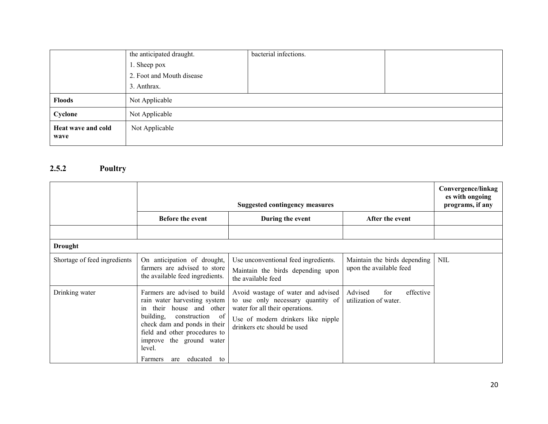|                            | the anticipated draught.  | bacterial infections. |  |
|----------------------------|---------------------------|-----------------------|--|
|                            | 1. Sheep pox              |                       |  |
|                            | 2. Foot and Mouth disease |                       |  |
|                            | 3. Anthrax.               |                       |  |
| <b>Floods</b>              | Not Applicable            |                       |  |
| Cyclone                    | Not Applicable            |                       |  |
| Heat wave and cold<br>wave | Not Applicable            |                       |  |

#### 2.5.2 Poultry

|                              | <b>Suggested contingency measures</b>                                                                                                                                                                                                                                     |                                                                                                                                                                                 |                                                         | Convergence/linkag<br>es with ongoing<br>programs, if any |
|------------------------------|---------------------------------------------------------------------------------------------------------------------------------------------------------------------------------------------------------------------------------------------------------------------------|---------------------------------------------------------------------------------------------------------------------------------------------------------------------------------|---------------------------------------------------------|-----------------------------------------------------------|
|                              | <b>Before the event</b>                                                                                                                                                                                                                                                   | During the event                                                                                                                                                                | After the event                                         |                                                           |
|                              |                                                                                                                                                                                                                                                                           |                                                                                                                                                                                 |                                                         |                                                           |
| <b>Drought</b>               |                                                                                                                                                                                                                                                                           |                                                                                                                                                                                 |                                                         |                                                           |
| Shortage of feed ingredients | On anticipation of drought,<br>farmers are advised to store<br>the available feed ingredients.                                                                                                                                                                            | Use unconventional feed ingredients.<br>Maintain the birds depending upon<br>the available feed                                                                                 | Maintain the birds depending<br>upon the available feed | <b>NIL</b>                                                |
| Drinking water               | Farmers are advised to build<br>rain water harvesting system<br>house and other<br>their<br>1n<br>building,<br>construction of<br>check dam and ponds in their<br>field and other procedures to<br>improve the ground water<br>level.<br>educated<br>Farmers<br>to<br>are | Avoid wastage of water and advised<br>to use only necessary quantity of<br>water for all their operations.<br>Use of modern drinkers like nipple<br>drinkers etc should be used | effective<br>Advised<br>for<br>utilization of water.    |                                                           |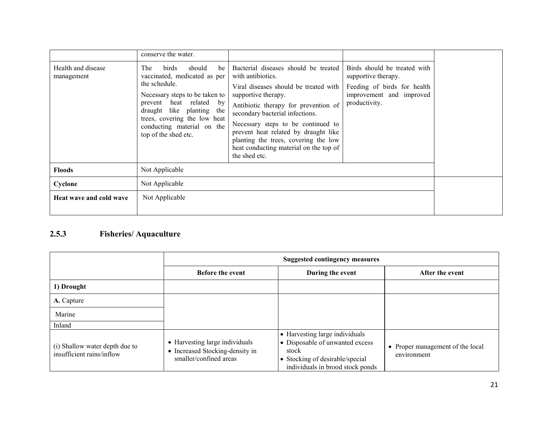|                                  | conserve the water.                                                                                                                                                                                                                                           |                                                                                                                                                                                                                                                                                                                                                                                       |                                                                                                                                 |  |
|----------------------------------|---------------------------------------------------------------------------------------------------------------------------------------------------------------------------------------------------------------------------------------------------------------|---------------------------------------------------------------------------------------------------------------------------------------------------------------------------------------------------------------------------------------------------------------------------------------------------------------------------------------------------------------------------------------|---------------------------------------------------------------------------------------------------------------------------------|--|
| Health and disease<br>management | birds<br>should<br>be<br>The<br>vaccinated, medicated as per<br>the schedule.<br>Necessary steps to be taken to<br>prevent heat related by<br>draught like planting the<br>trees, covering the low heat<br>conducting material on the<br>top of the shed etc. | Bacterial diseases should be treated<br>with antibiotics.<br>Viral diseases should be treated with<br>supportive therapy.<br>Antibiotic therapy for prevention of<br>secondary bacterial infections.<br>Necessary steps to be continued to<br>prevent heat related by draught like<br>planting the trees, covering the low<br>heat conducting material on the top of<br>the shed etc. | Birds should be treated with<br>supportive therapy.<br>Feeding of birds for health<br>improvement and improved<br>productivity. |  |
| <b>Floods</b>                    | Not Applicable                                                                                                                                                                                                                                                |                                                                                                                                                                                                                                                                                                                                                                                       |                                                                                                                                 |  |
| Cyclone                          | Not Applicable                                                                                                                                                                                                                                                |                                                                                                                                                                                                                                                                                                                                                                                       |                                                                                                                                 |  |
| Heat wave and cold wave          | Not Applicable                                                                                                                                                                                                                                                |                                                                                                                                                                                                                                                                                                                                                                                       |                                                                                                                                 |  |

#### 2.5.3 Fisheries/ Aquaculture

|                                                             | <b>Suggested contingency measures</b>                                                                  |                                                                                                                                                   |                                                 |
|-------------------------------------------------------------|--------------------------------------------------------------------------------------------------------|---------------------------------------------------------------------------------------------------------------------------------------------------|-------------------------------------------------|
|                                                             | <b>Before the event</b>                                                                                | During the event                                                                                                                                  | After the event                                 |
| 1) Drought                                                  |                                                                                                        |                                                                                                                                                   |                                                 |
| A. Capture                                                  |                                                                                                        |                                                                                                                                                   |                                                 |
| Marine                                                      |                                                                                                        |                                                                                                                                                   |                                                 |
| Inland                                                      |                                                                                                        |                                                                                                                                                   |                                                 |
| (i) Shallow water depth due to<br>insufficient rains/inflow | • Harvesting large individuals<br>Increased Stocking-density in<br>$\bullet$<br>smaller/confined areas | • Harvesting large individuals<br>• Disposable of unwanted excess<br>stock<br>• Stocking of desirable/special<br>individuals in brood stock ponds | • Proper management of the local<br>environment |